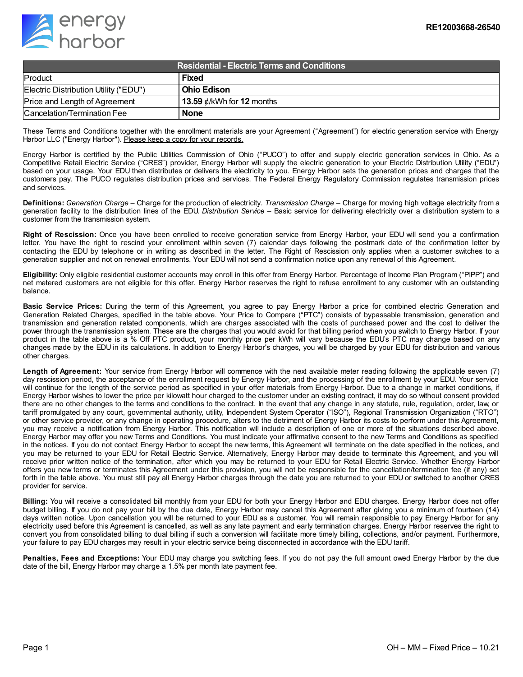

| Residential - Electric Terms and Conditions, |                                 |
|----------------------------------------------|---------------------------------|
| Product                                      | <b>Fixed</b>                    |
| Electric Distribution Utility ("EDU")        | l Ohio Edison                   |
| Price and Length of Agreement                | 13.59 $\phi$ /kWh for 12 months |
| Cancelation/Termination Fee                  | <b>None</b>                     |

These Terms and Conditions together with the enrollment materials are your Agreement ("Agreement") for electric generation service with Energy Harbor LLC ("Energy Harbor"). Please keep a copy for your records.

Energy Harbor is certified by the Public Utilities Commission of Ohio ("PUCO") to offer and supply electric generation services in Ohio. As a Competitive Retail Electric Service ("CRES") provider, Energy Harbor will supply the electric generation to your Electric Distribution Utility ("EDU") based on your usage. Your EDU then distributes or delivers the electricity to you. Energy Harbor sets the generation prices and charges that the customers pay. The PUCO regulates distribution prices and services. The Federal Energy Regulatory Commission regulates transmission prices and services.

**Definitions:** *Generation Charge* – Charge for the production of electricity. *Transmission Charge* – Charge for moving high voltage electricity from a generation facility to the distribution lines of the EDU. *Distribution Service* – Basic service for delivering electricity over a distribution system to a customer from the transmission system.

**Right of Rescission:** Once you have been enrolled to receive generation service from Energy Harbor, your EDU will send you a confirmation letter. You have the right to rescind your enrollment within seven (7) calendar days following the postmark date of the confirmation letter by contacting the EDU by telephone or in writing as described in the letter. The Right of Rescission only applies when a customer switches to a generation supplier and not on renewal enrollments. Your EDU will not send a confirmation notice upon any renewal of this Agreement.

**Eligibility:** Only eligible residential customer accounts may enroll in this offer from Energy Harbor. Percentage of Income Plan Program ("PIPP") and net metered customers are not eligible for this offer. Energy Harbor reserves the right to refuse enrollment to any customer with an outstanding balance.

**Basic Service Prices:** During the term of this Agreement, you agree to pay Energy Harbor a price for combined electric Generation and Generation Related Charges, specified in the table above. Your Price to Compare ("PTC") consists of bypassable transmission, generation and transmission and generation related components, which are charges associated with the costs of purchased power and the cost to deliver the power through the transmission system. These are the charges that you would avoid for that billing period when you switch to Energy Harbor. If your product in the table above is a % Off PTC product, your monthly price per kWh will vary because the EDU's PTC may change based on any changes made by the EDU in its calculations. In addition to Energy Harbor's charges, you will be charged by your EDU for distribution and various other charges.

**Length of Agreement:** Your service from Energy Harbor will commence with the next available meter reading following the applicable seven (7) day rescission period, the acceptance of the enrollment request by Energy Harbor, and the processing of the enrollment by your EDU. Your service will continue for the length of the service period as specified in your offer materials from Energy Harbor. Due to a change in market conditions, if Energy Harbor wishes to lower the price per kilowatt hour charged to the customer under an existing contract, it may do so without consent provided there are no other changes to the terms and conditions to the contract. In the event that any change in any statute, rule, regulation, order, law, or tariff promulgated by any court, governmental authority, utility, Independent System Operator ("ISO"), Regional Transmission Organization ("RTO") or other service provider, or any change in operating procedure, alters to the detriment of Energy Harbor its costs to perform under this Agreement, you may receive a notification from Energy Harbor. This notification will include a description of one or more of the situations described above. Energy Harbor may offer you new Terms and Conditions. You must indicate your affirmative consent to the new Terms and Conditions as specified in the notices. If you do not contact Energy Harbor to accept the new terms, this Agreement will terminate on the date specified in the notices, and you may be returned to your EDU for Retail Electric Service. Alternatively, Energy Harbor may decide to terminate this Agreement, and you will receive prior written notice of the termination, after which you may be returned to your EDU for Retail Electric Service. Whether Energy Harbor offers you new terms or terminates this Agreement under this provision, you will not be responsible for the cancellation/termination fee (if any) set forth in the table above. You must still pay all Energy Harbor charges through the date you are returned to your EDU or switched to another CRES provider for service.

**Billing:** You will receive a consolidated bill monthly from your EDU for both your Energy Harbor and EDU charges. Energy Harbor does not offer budget billing. If you do not pay your bill by the due date, Energy Harbor may cancel this Agreement after giving you a minimum of fourteen (14) days written notice. Upon cancellation you will be returned to your EDU as a customer. You will remain responsible to pay Energy Harbor for any electricity used before this Agreement is cancelled, as well as any late payment and early termination charges. Energy Harbor reserves the right to convert you from consolidated billing to dual billing if such a conversion will facilitate more timely billing, collections, and/or payment. Furthermore, your failure to pay EDU charges may result in your electric service being disconnected in accordance with the EDU tariff.

**Penalties, Fees and Exceptions:** Your EDU may charge you switching fees. If you do not pay the full amount owed Energy Harbor by the due date of the bill, Energy Harbor may charge a 1.5% per month late payment fee.